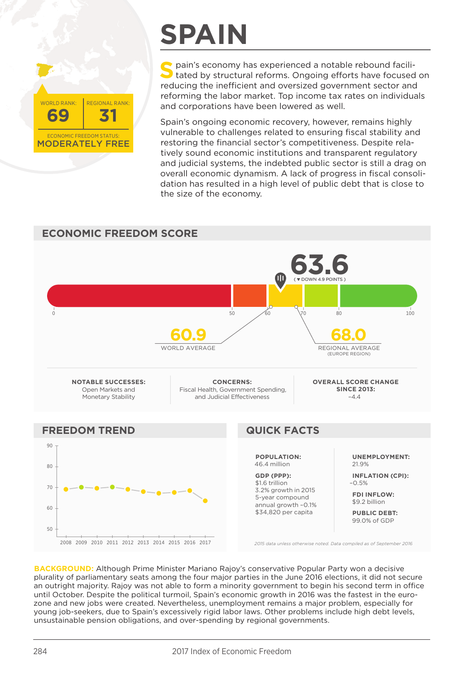MODERATELY FREE **69 31** ECONOMIC FREEDOM STATUS: WORLD RANK: REGIONAL RANK:

# **SPAIN**

**S** pain's economy has experienced a notable rebound facili-<br>tated by structural reforms. Ongoing efforts have focused on reducing the inefficient and oversized government sector and reforming the labor market. Top income tax rates on individuals and corporations have been lowered as well.

Spain's ongoing economic recovery, however, remains highly vulnerable to challenges related to ensuring fiscal stability and restoring the financial sector's competitiveness. Despite relatively sound economic institutions and transparent regulatory and judicial systems, the indebted public sector is still a drag on overall economic dynamism. A lack of progress in fiscal consolidation has resulted in a high level of public debt that is close to the size of the economy.

### **ECONOMIC FREEDOM SCORE 63.6** OD 0 60  $\times$  50  $\times$  60  $\times$  70 80  $\times$  100 **60.9 68.0** WORLD AVERAGE REGIONAL AVERAGE (EUROPE REGION) **NOTABLE SUCCESSES: CONCERNS: OVERALL SCORE CHANGE**  Open Markets and Fiscal Health, Government Spending, **SINCE 2013:** Monetary Stability and Judicial Effectiveness  $-4.4$ **FREEDOM TREND QUICK FACTS** 90 **POPULATION: UNEMPLOYMENT:** 46.4 million 21.9% 80 **GDP (PPP): INFLATION (CPI):** \$1.6 trillion –0.5% 70 3.2% growth in 2015 **FDI INFLOW:** 5-year compound \$9.2 billion annual growth –0.1% 60 \$34,820 per capita **PUBLIC DEBT:** 99.0% of GDP $50$ 2008 2009 2010 2011 2012 2013 2014 2015 2016 2017 *2015 data unless otherwise noted. Data compiled as of September 2016*

**BACKGROUND:** Although Prime Minister Mariano Rajoy's conservative Popular Party won a decisive plurality of parliamentary seats among the four major parties in the June 2016 elections, it did not secure an outright majority. Rajoy was not able to form a minority government to begin his second term in office until October. Despite the political turmoil, Spain's economic growth in 2016 was the fastest in the eurozone and new jobs were created. Nevertheless, unemployment remains a major problem, especially for young job-seekers, due to Spain's excessively rigid labor laws. Other problems include high debt levels, unsustainable pension obligations, and over-spending by regional governments.